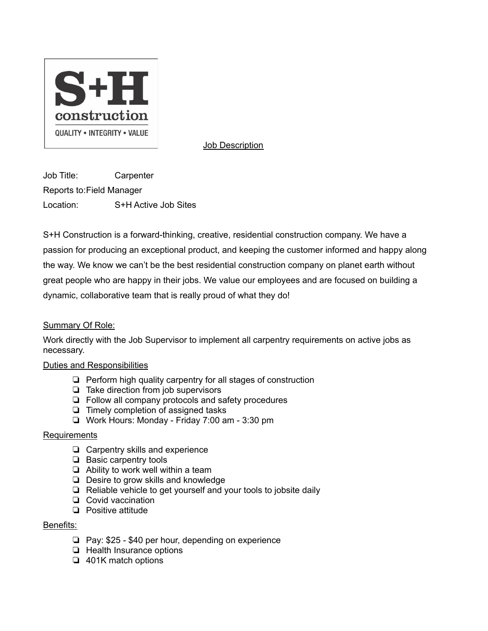

Job Description

Job Title: Carpenter Reports to:Field Manager Location: S+H Active Job Sites

S+H Construction is a forward-thinking, creative, residential construction company. We have a passion for producing an exceptional product, and keeping the customer informed and happy along the way. We know we can't be the best residential construction company on planet earth without great people who are happy in their jobs. We value our employees and are focused on building a dynamic, collaborative team that is really proud of what they do!

## Summary Of Role:

Work directly with the Job Supervisor to implement all carpentry requirements on active jobs as necessary.

## Duties and Responsibilities

- ❏ Perform high quality carpentry for all stages of construction
- ❏ Take direction from job supervisors
- ❏ Follow all company protocols and safety procedures
- ❏ Timely completion of assigned tasks
- ❏ Work Hours: Monday Friday 7:00 am 3:30 pm

## Requirements

- ❏ Carpentry skills and experience
- ❏ Basic carpentry tools
- ❏ Ability to work well within a team
- ❏ Desire to grow skills and knowledge
- ❏ Reliable vehicle to get yourself and your tools to jobsite daily
- ❏ Covid vaccination
- ❏ Positive attitude

## Benefits:

- ❏ Pay: \$25 \$40 per hour, depending on experience
- ❏ Health Insurance options
- ❏ 401K match options